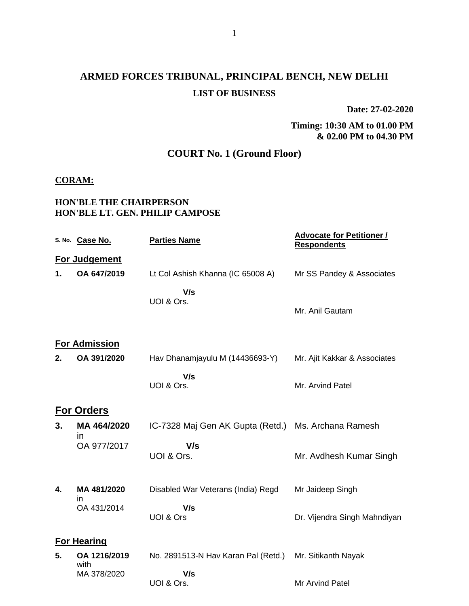## **ARMED FORCES TRIBUNAL, PRINCIPAL BENCH, NEW DELHI LIST OF BUSINESS**

**Date: 27-02-2020**

**Timing: 10:30 AM to 01.00 PM & 02.00 PM to 04.30 PM**

### **COURT No. 1 (Ground Floor)**

#### **CORAM:**

### **HON'BLE THE CHAIRPERSON HON'BLE LT. GEN. PHILIP CAMPOSE**

|    | S. No. Case No.      | <b>Parties Name</b>                 | <b>Advocate for Petitioner /</b><br><b>Respondents</b> |
|----|----------------------|-------------------------------------|--------------------------------------------------------|
|    | <b>For Judgement</b> |                                     |                                                        |
| 1. | OA 647/2019          | Lt Col Ashish Khanna (IC 65008 A)   | Mr SS Pandey & Associates                              |
|    |                      | V/s<br>UOI & Ors.                   | Mr. Anil Gautam                                        |
|    | <b>For Admission</b> |                                     |                                                        |
| 2. | OA 391/2020          | Hav Dhanamjayulu M (14436693-Y)     | Mr. Ajit Kakkar & Associates                           |
|    |                      | V/s<br>UOI & Ors.                   | Mr. Arvind Patel                                       |
|    | <b>For Orders</b>    |                                     |                                                        |
| 3. | MA 464/2020          | IC-7328 Maj Gen AK Gupta (Retd.)    | Ms. Archana Ramesh                                     |
|    | in<br>OA 977/2017    | V/s<br>UOI & Ors.                   | Mr. Avdhesh Kumar Singh                                |
| 4. | MA 481/2020<br>in    | Disabled War Veterans (India) Regd  | Mr Jaideep Singh                                       |
|    | OA 431/2014          | V/s<br>UOI & Ors                    | Dr. Vijendra Singh Mahndiyan                           |
|    | <b>For Hearing</b>   |                                     |                                                        |
| 5. | OA 1216/2019<br>with | No. 2891513-N Hav Karan Pal (Retd.) | Mr. Sitikanth Nayak                                    |
|    | MA 378/2020          | V/s<br>UOI & Ors.                   | Mr Arvind Patel                                        |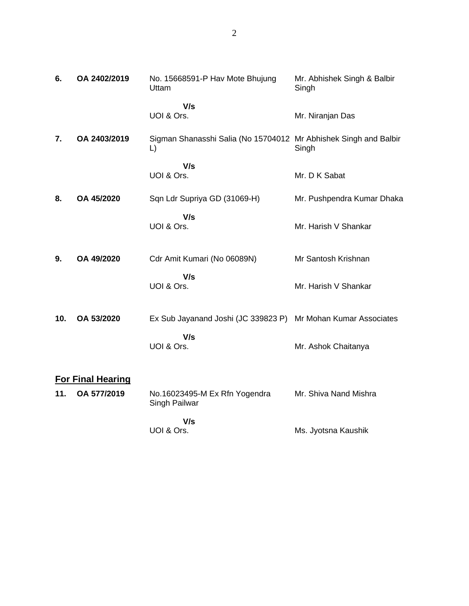| 6.  | OA 2402/2019             | No. 15668591-P Hav Mote Bhujung<br>Uttam                               | Mr. Abhishek Singh & Balbir<br>Singh |
|-----|--------------------------|------------------------------------------------------------------------|--------------------------------------|
|     |                          | V/s<br>UOI & Ors.                                                      | Mr. Niranjan Das                     |
| 7.  | OA 2403/2019             | Sigman Shanasshi Salia (No 15704012 Mr Abhishek Singh and Balbir<br>L) | Singh                                |
|     |                          | V/s<br>UOI & Ors.                                                      | Mr. D K Sabat                        |
| 8.  | OA 45/2020               | Sqn Ldr Supriya GD (31069-H)                                           | Mr. Pushpendra Kumar Dhaka           |
|     |                          | V/s<br>UOI & Ors.                                                      | Mr. Harish V Shankar                 |
| 9.  | OA 49/2020               | Cdr Amit Kumari (No 06089N)                                            | Mr Santosh Krishnan                  |
|     |                          | V/s<br>UOI & Ors.                                                      | Mr. Harish V Shankar                 |
| 10. | OA 53/2020               | Ex Sub Jayanand Joshi (JC 339823 P) Mr Mohan Kumar Associates          |                                      |
|     |                          | V/s<br>UOI & Ors.                                                      | Mr. Ashok Chaitanya                  |
|     | <b>For Final Hearing</b> |                                                                        |                                      |
| 11. | OA 577/2019              | No.16023495-M Ex Rfn Yogendra<br>Singh Pailwar                         | Mr. Shiva Nand Mishra                |
|     |                          | V/s<br>UOI & Ors.                                                      | Ms. Jyotsna Kaushik                  |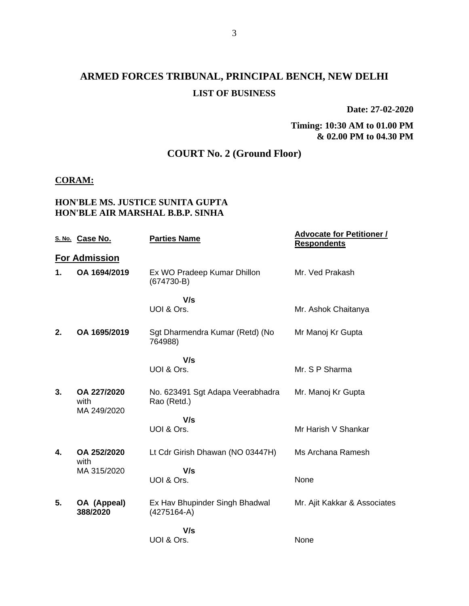## **ARMED FORCES TRIBUNAL, PRINCIPAL BENCH, NEW DELHI LIST OF BUSINESS**

**Date: 27-02-2020**

**Timing: 10:30 AM to 01.00 PM & 02.00 PM to 04.30 PM**

### **COURT No. 2 (Ground Floor)**

#### **CORAM:**

### **HON'BLE MS. JUSTICE SUNITA GUPTA HON'BLE AIR MARSHAL B.B.P. SINHA**

|    | S. No. Case No.                    | <b>Parties Name</b>                             | <b>Advocate for Petitioner /</b><br><b>Respondents</b> |
|----|------------------------------------|-------------------------------------------------|--------------------------------------------------------|
|    | <b>For Admission</b>               |                                                 |                                                        |
| 1. | OA 1694/2019                       | Ex WO Pradeep Kumar Dhillon<br>$(674730-B)$     | Mr. Ved Prakash                                        |
|    |                                    | V/s<br>UOI & Ors.                               | Mr. Ashok Chaitanya                                    |
| 2. | OA 1695/2019                       | Sgt Dharmendra Kumar (Retd) (No<br>764988)      | Mr Manoj Kr Gupta                                      |
|    |                                    | V/s                                             |                                                        |
|    |                                    | UOI & Ors.                                      | Mr. S P Sharma                                         |
| 3. | OA 227/2020<br>with<br>MA 249/2020 | No. 623491 Sgt Adapa Veerabhadra<br>Rao (Retd.) | Mr. Manoj Kr Gupta                                     |
|    |                                    | V/s                                             |                                                        |
|    |                                    | UOI & Ors.                                      | Mr Harish V Shankar                                    |
| 4. | OA 252/2020<br>with                | Lt Cdr Girish Dhawan (NO 03447H)                | Ms Archana Ramesh                                      |
|    | MA 315/2020                        | V/s<br>UOI & Ors.                               | None                                                   |
| 5. | OA (Appeal)<br>388/2020            | Ex Hav Bhupinder Singh Bhadwal<br>$(4275164-A)$ | Mr. Ajit Kakkar & Associates                           |
|    |                                    | V/s                                             |                                                        |
|    |                                    | UOI & Ors.                                      | None                                                   |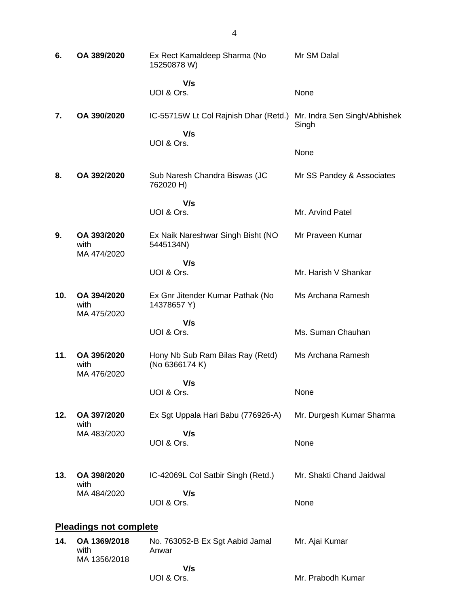| 6.  | OA 389/2020                        | Ex Rect Kamaldeep Sharma (No<br>15250878 W)        | Mr SM Dalal                           |
|-----|------------------------------------|----------------------------------------------------|---------------------------------------|
|     |                                    | V/s<br>UOI & Ors.                                  | None                                  |
| 7.  | OA 390/2020                        | IC-55715W Lt Col Rajnish Dhar (Retd.)<br>V/s       | Mr. Indra Sen Singh/Abhishek<br>Singh |
|     |                                    | UOI & Ors.                                         | None                                  |
| 8.  | OA 392/2020                        | Sub Naresh Chandra Biswas (JC<br>762020 H)         | Mr SS Pandey & Associates             |
|     |                                    | V/s<br>UOI & Ors.                                  | Mr. Arvind Patel                      |
| 9.  | OA 393/2020<br>with<br>MA 474/2020 | Ex Naik Nareshwar Singh Bisht (NO<br>5445134N)     | Mr Praveen Kumar                      |
|     |                                    | V/s                                                |                                       |
|     |                                    | UOI & Ors.                                         | Mr. Harish V Shankar                  |
| 10. | OA 394/2020<br>with<br>MA 475/2020 | Ex Gnr Jitender Kumar Pathak (No<br>14378657 Y)    | Ms Archana Ramesh                     |
|     |                                    | V/s<br>UOI & Ors.                                  | Ms. Suman Chauhan                     |
| 11. | OA 395/2020<br>with<br>MA 476/2020 | Hony Nb Sub Ram Bilas Ray (Retd)<br>(No 6366174 K) | Ms Archana Ramesh                     |
|     |                                    | V/s                                                |                                       |
|     |                                    | UOI & Ors.                                         | None                                  |
| 12. | OA 397/2020<br>with                | Ex Sgt Uppala Hari Babu (776926-A)                 | Mr. Durgesh Kumar Sharma              |
|     | MA 483/2020                        | V/s<br>UOI & Ors.                                  | None                                  |
|     |                                    |                                                    |                                       |
| 13. | OA 398/2020<br>with                | IC-42069L Col Satbir Singh (Retd.)                 | Mr. Shakti Chand Jaidwal              |
|     | MA 484/2020                        | V/s<br>UOI & Ors.                                  | None                                  |
|     | <b>Pleadings not complete</b>      |                                                    |                                       |
| 14. | OA 1369/2018<br>with               | No. 763052-B Ex Sgt Aabid Jamal<br>Anwar           | Mr. Ajai Kumar                        |
|     | MA 1356/2018                       | V/s                                                |                                       |

UOI & Ors.

Mr. Prabodh Kumar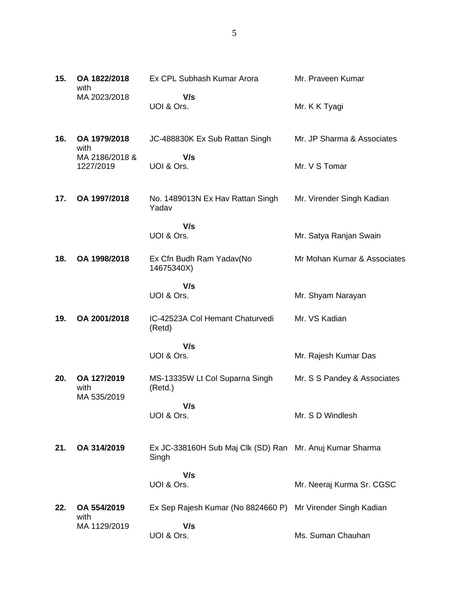| 15. | OA 1822/2018<br>with               | Ex CPL Subhash Kumar Arora                  | Mr. Praveen Kumar           |
|-----|------------------------------------|---------------------------------------------|-----------------------------|
|     | MA 2023/2018                       | V/s<br>UOI & Ors.                           | Mr. K K Tyagi               |
| 16. | OA 1979/2018<br>with               | JC-488830K Ex Sub Rattan Singh              | Mr. JP Sharma & Associates  |
|     | MA 2186/2018 &<br>1227/2019        | V/s<br>UOI & Ors.                           | Mr. V S Tomar               |
| 17. | OA 1997/2018                       | No. 1489013N Ex Hav Rattan Singh<br>Yadav   | Mr. Virender Singh Kadian   |
|     |                                    | V/s<br>UOI & Ors.                           | Mr. Satya Ranjan Swain      |
| 18. | OA 1998/2018                       | Ex Cfn Budh Ram Yadav(No<br>14675340X)      | Mr Mohan Kumar & Associates |
|     |                                    | V/s<br>UOI & Ors.                           | Mr. Shyam Narayan           |
| 19. | OA 2001/2018                       | IC-42523A Col Hemant Chaturvedi<br>(Retd)   | Mr. VS Kadian               |
|     |                                    | V/s<br>UOI & Ors.                           | Mr. Rajesh Kumar Das        |
| 20. | OA 127/2019<br>with<br>MA 535/2019 | MS-13335W Lt Col Suparna Singh<br>(Retd.)   | Mr. S S Pandey & Associates |
|     |                                    | V/s<br>UOI & Ors.                           | Mr. S D Windlesh            |
| 21. | OA 314/2019                        | Ex JC-338160H Sub Maj Clk (SD) Ran<br>Singh | Mr. Anuj Kumar Sharma       |
|     |                                    | V/s<br>UOI & Ors.                           | Mr. Neeraj Kurma Sr. CGSC   |
| 22. | OA 554/2019<br>with                | Ex Sep Rajesh Kumar (No 8824660 P)          | Mr Virender Singh Kadian    |
|     | MA 1129/2019                       | V/s<br>UOI & Ors.                           | Ms. Suman Chauhan           |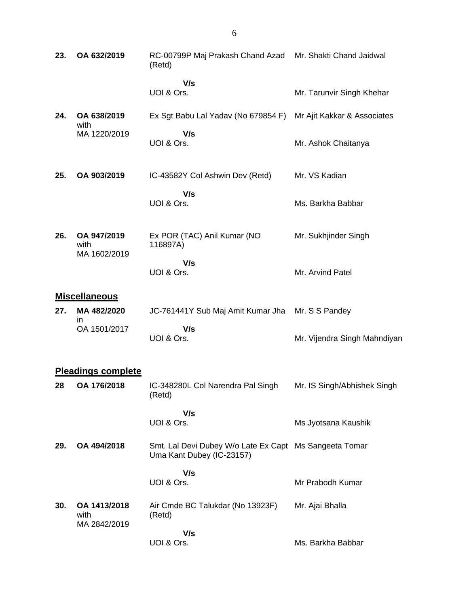| 23. | OA 632/2019                         | RC-00799P Maj Prakash Chand Azad<br>(Retd)                                          | Mr. Shakti Chand Jaidwal     |
|-----|-------------------------------------|-------------------------------------------------------------------------------------|------------------------------|
|     |                                     | V/s<br>UOI & Ors.                                                                   | Mr. Tarunvir Singh Khehar    |
| 24. | OA 638/2019<br>with                 | Ex Sgt Babu Lal Yadav (No 679854 F)                                                 | Mr Ajit Kakkar & Associates  |
|     | MA 1220/2019                        | V/s<br>UOI & Ors.                                                                   | Mr. Ashok Chaitanya          |
| 25. | OA 903/2019                         | IC-43582Y Col Ashwin Dev (Retd)                                                     | Mr. VS Kadian                |
|     |                                     | V/s<br>UOI & Ors.                                                                   | Ms. Barkha Babbar            |
| 26. | OA 947/2019<br>with<br>MA 1602/2019 | Ex POR (TAC) Anil Kumar (NO<br>116897A)                                             | Mr. Sukhjinder Singh         |
|     |                                     | V/s<br>UOI & Ors.                                                                   | Mr. Arvind Patel             |
|     | <b>Miscellaneous</b>                |                                                                                     |                              |
| 27. | MA 482/2020<br>ın                   | JC-761441Y Sub Maj Amit Kumar Jha                                                   | Mr. S S Pandey               |
|     | OA 1501/2017                        | V/s<br>UOI & Ors.                                                                   | Mr. Vijendra Singh Mahndiyan |
|     | <b>Pleadings complete</b>           |                                                                                     |                              |
| 28  | OA 176/2018                         | IC-348280L Col Narendra Pal Singh<br>(Retd)                                         | Mr. IS Singh/Abhishek Singh  |
|     |                                     | V/s<br>UOI & Ors.                                                                   | Ms Jyotsana Kaushik          |
| 29. | OA 494/2018                         | Smt. Lal Devi Dubey W/o Late Ex Capt Ms Sangeeta Tomar<br>Uma Kant Dubey (IC-23157) |                              |
|     |                                     | V/s<br>UOI & Ors.                                                                   | Mr Prabodh Kumar             |
| 30. | OA 1413/2018<br>with                | Air Cmde BC Talukdar (No 13923F)<br>(Retd)                                          | Mr. Ajai Bhalla              |

Ms. Barkha Babbar

 **V/s** UOI & Ors.

MA 2842/2019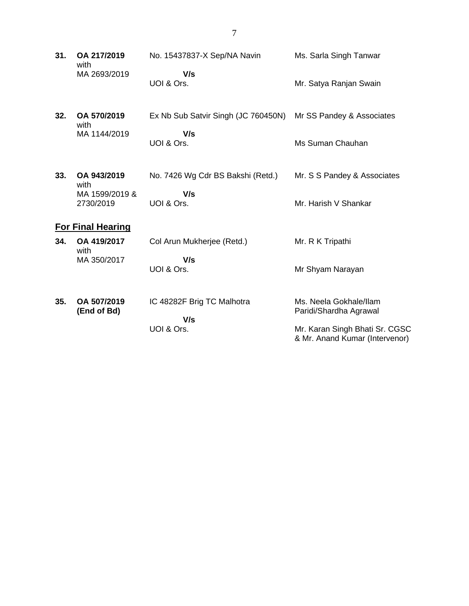**31. OA 217/2019** with MA 2693/2019 No. 15437837-X Sep/NA Navin  **V/s** UOI & Ors. Ms. Sarla Singh Tanwar Mr. Satya Ranjan Swain **32. OA 570/2019** with MA 1144/2019 Ex Nb Sub Satvir Singh (JC 760450N)  **V/s** UOI & Ors. Mr SS Pandey & Associates Ms Suman Chauhan **33. OA 943/2019** with MA 1599/2019 & 2730/2019 No. 7426 Wg Cdr BS Bakshi (Retd.)  **V/s** UOI & Ors. Mr. S S Pandey & Associates Mr. Harish V Shankar **For Final Hearing 34. OA 419/2017** with MA 350/2017 Col Arun Mukherjee (Retd.)  **V/s** UOI & Ors. Mr. R K Tripathi Mr Shyam Narayan **35. OA 507/2019 (End of Bd)** IC 48282F Brig TC Malhotra  **V/s** UOI & Ors. Ms. Neela Gokhale/Ilam Paridi/Shardha Agrawal Mr. Karan Singh Bhati Sr. CGSC & Mr. Anand Kumar (Intervenor)

7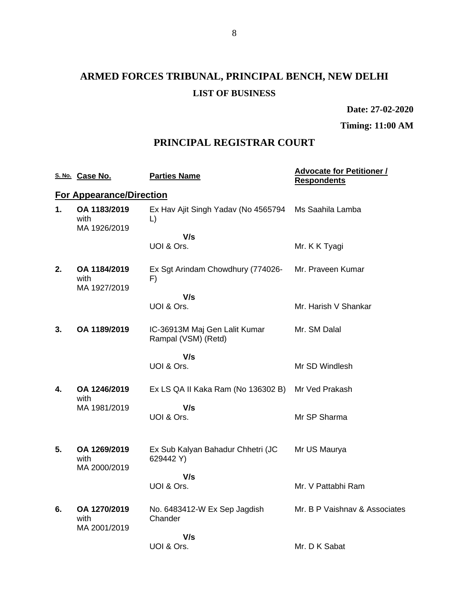# **ARMED FORCES TRIBUNAL, PRINCIPAL BENCH, NEW DELHI LIST OF BUSINESS**

**Date: 27-02-2020**

**Timing: 11:00 AM**

### **PRINCIPAL REGISTRAR COURT**

|    | S. No. Case No.                      | <b>Parties Name</b>                                  | <b>Advocate for Petitioner /</b><br><b>Respondents</b> |
|----|--------------------------------------|------------------------------------------------------|--------------------------------------------------------|
|    | <b>For Appearance/Direction</b>      |                                                      |                                                        |
| 1. | OA 1183/2019<br>with<br>MA 1926/2019 | Ex Hav Ajit Singh Yadav (No 4565794<br>$\lfloor$     | Ms Saahila Lamba                                       |
|    |                                      | V/s                                                  |                                                        |
|    |                                      | UOI & Ors.                                           | Mr. K K Tyagi                                          |
| 2. | OA 1184/2019<br>with<br>MA 1927/2019 | Ex Sgt Arindam Chowdhury (774026-<br>F)              | Mr. Praveen Kumar                                      |
|    |                                      | V/s                                                  |                                                        |
|    |                                      | UOI & Ors.                                           | Mr. Harish V Shankar                                   |
| 3. | OA 1189/2019                         | IC-36913M Maj Gen Lalit Kumar<br>Rampal (VSM) (Retd) | Mr. SM Dalal                                           |
|    |                                      | V/s                                                  |                                                        |
|    |                                      | UOI & Ors.                                           | Mr SD Windlesh                                         |
| 4. | OA 1246/2019<br>with                 | Ex LS QA II Kaka Ram (No 136302 B)                   | Mr Ved Prakash                                         |
|    | MA 1981/2019                         | V/s<br>UOI & Ors.                                    | Mr SP Sharma                                           |
| 5. | OA 1269/2019<br>with<br>MA 2000/2019 | Ex Sub Kalyan Bahadur Chhetri (JC<br>629442 Y)       | Mr US Maurya                                           |
|    |                                      | V/s                                                  |                                                        |
|    |                                      | UOI & Ors.                                           | Mr. V Pattabhi Ram                                     |
| 6. | OA 1270/2019<br>with<br>MA 2001/2019 | No. 6483412-W Ex Sep Jagdish<br>Chander              | Mr. B P Vaishnav & Associates                          |
|    |                                      | V/s                                                  |                                                        |
|    |                                      | UOI & Ors.                                           | Mr. D K Sabat                                          |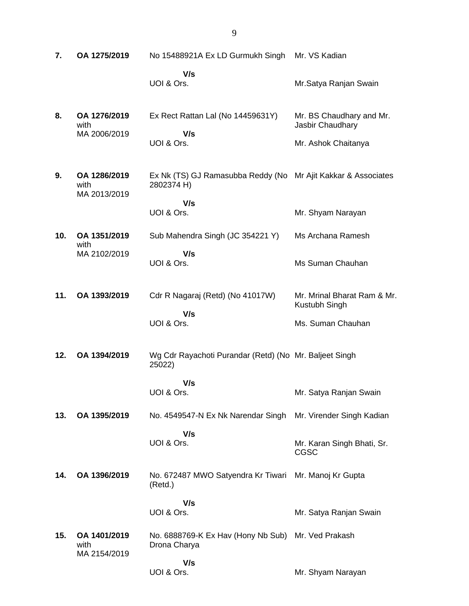| 7.  | OA 1275/2019                         | No 15488921A Ex LD Gurmukh Singh                                            | Mr. VS Kadian                                |
|-----|--------------------------------------|-----------------------------------------------------------------------------|----------------------------------------------|
|     |                                      | V/s<br>UOI & Ors.                                                           | Mr.Satya Ranjan Swain                        |
| 8.  | OA 1276/2019<br>with<br>MA 2006/2019 | Ex Rect Rattan Lal (No 14459631Y)<br>V/s                                    | Mr. BS Chaudhary and Mr.<br>Jasbir Chaudhary |
|     |                                      | UOI & Ors.                                                                  | Mr. Ashok Chaitanya                          |
| 9.  | OA 1286/2019<br>with<br>MA 2013/2019 | Ex Nk (TS) GJ Ramasubba Reddy (No Mr Ajit Kakkar & Associates<br>2802374 H) |                                              |
|     |                                      | V/s<br>UOI & Ors.                                                           | Mr. Shyam Narayan                            |
| 10. | OA 1351/2019<br>with                 | Sub Mahendra Singh (JC 354221 Y)                                            | Ms Archana Ramesh                            |
|     | MA 2102/2019                         | V/s<br>UOI & Ors.                                                           | Ms Suman Chauhan                             |
| 11. | OA 1393/2019                         | Cdr R Nagaraj (Retd) (No 41017W)                                            | Mr. Mrinal Bharat Ram & Mr.<br>Kustubh Singh |
|     |                                      | V/s<br>UOI & Ors.                                                           | Ms. Suman Chauhan                            |
| 12. | OA 1394/2019                         | Wg Cdr Rayachoti Purandar (Retd) (No Mr. Baljeet Singh<br>25022)            |                                              |
|     |                                      | V/s<br>UOI & Ors.                                                           | Mr. Satya Ranjan Swain                       |
| 13. | OA 1395/2019                         | No. 4549547-N Ex Nk Narendar Singh                                          | Mr. Virender Singh Kadian                    |
|     |                                      | V/s<br>UOI & Ors.                                                           | Mr. Karan Singh Bhati, Sr.<br><b>CGSC</b>    |
| 14. | OA 1396/2019                         | No. 672487 MWO Satyendra Kr Tiwari<br>(Retd.)                               | Mr. Manoj Kr Gupta                           |
|     |                                      | V/s<br>UOI & Ors.                                                           | Mr. Satya Ranjan Swain                       |
| 15. | OA 1401/2019<br>with<br>MA 2154/2019 | No. 6888769-K Ex Hav (Hony Nb Sub)<br>Drona Charya                          | Mr. Ved Prakash                              |
|     |                                      | V/s<br>UOI & Ors.                                                           | Mr. Shyam Narayan                            |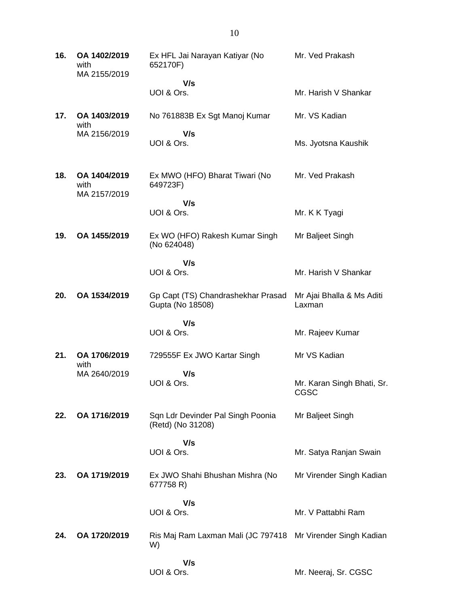| 16. | OA 1402/2019<br>with<br>MA 2155/2019 | Ex HFL Jai Narayan Katiyar (No<br>652170F)                        | Mr. Ved Prakash                     |
|-----|--------------------------------------|-------------------------------------------------------------------|-------------------------------------|
|     |                                      | V/s<br>UOI & Ors.                                                 | Mr. Harish V Shankar                |
| 17. | OA 1403/2019<br>with                 | No 761883B Ex Sgt Manoj Kumar                                     | Mr. VS Kadian                       |
|     | MA 2156/2019                         | V/s<br>UOI & Ors.                                                 | Ms. Jyotsna Kaushik                 |
| 18. | OA 1404/2019<br>with<br>MA 2157/2019 | Ex MWO (HFO) Bharat Tiwari (No<br>649723F)                        | Mr. Ved Prakash                     |
|     |                                      | V/s<br>UOI & Ors.                                                 | Mr. K K Tyagi                       |
| 19. | OA 1455/2019                         | Ex WO (HFO) Rakesh Kumar Singh<br>(No 624048)                     | Mr Baljeet Singh                    |
|     |                                      | V/s<br>UOI & Ors.                                                 | Mr. Harish V Shankar                |
| 20. | OA 1534/2019                         | Gp Capt (TS) Chandrashekhar Prasad<br>Gupta (No 18508)            | Mr Ajai Bhalla & Ms Aditi<br>Laxman |
|     |                                      | V/s<br>UOI & Ors.                                                 | Mr. Rajeev Kumar                    |
| 21. | OA 1706/2019<br>with                 | 729555F Ex JWO Kartar Singh                                       | Mr VS Kadian                        |
|     | MA 2640/2019                         | V/s<br>UOI & Ors.                                                 | Mr. Karan Singh Bhati, Sr.<br>CGSC  |
| 22. | OA 1716/2019                         | Sqn Ldr Devinder Pal Singh Poonia<br>(Retd) (No 31208)            | Mr Baljeet Singh                    |
|     |                                      | V/s<br>UOI & Ors.                                                 | Mr. Satya Ranjan Swain              |
|     |                                      |                                                                   |                                     |
| 23. | OA 1719/2019                         | Ex JWO Shahi Bhushan Mishra (No<br>677758 R)                      | Mr Virender Singh Kadian            |
|     |                                      | V/s<br>UOI & Ors.                                                 | Mr. V Pattabhi Ram                  |
| 24. | OA 1720/2019                         | Ris Maj Ram Laxman Mali (JC 797418 Mr Virender Singh Kadian<br>W) |                                     |
|     |                                      | V/s<br>UOI & Ors.                                                 | Mr. Neeraj, Sr. CGSC                |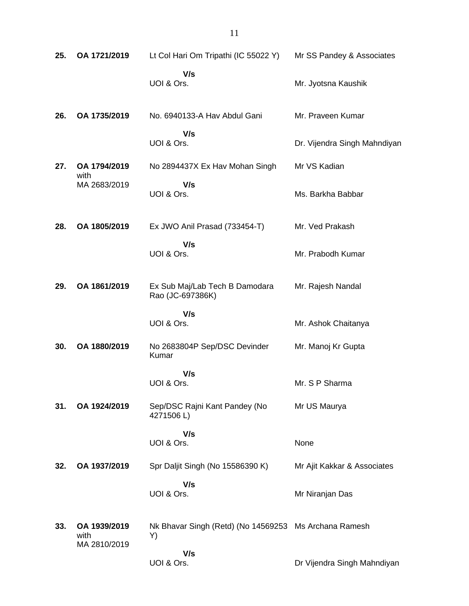| 25. | OA 1721/2019                         | Lt Col Hari Om Tripathi (IC 55022 Y)                        | Mr SS Pandey & Associates    |
|-----|--------------------------------------|-------------------------------------------------------------|------------------------------|
|     |                                      | V/s<br>UOI & Ors.                                           | Mr. Jyotsna Kaushik          |
| 26. | OA 1735/2019                         | No. 6940133-A Hav Abdul Gani                                | Mr. Praveen Kumar            |
|     |                                      | V/s<br>UOI & Ors.                                           | Dr. Vijendra Singh Mahndiyan |
| 27. | OA 1794/2019<br>with                 | No 2894437X Ex Hav Mohan Singh                              | Mr VS Kadian                 |
|     | MA 2683/2019                         | V/s<br>UOI & Ors.                                           | Ms. Barkha Babbar            |
| 28. | OA 1805/2019                         | Ex JWO Anil Prasad (733454-T)                               | Mr. Ved Prakash              |
|     |                                      | V/s<br>UOI & Ors.                                           | Mr. Prabodh Kumar            |
| 29. | OA 1861/2019                         | Ex Sub Maj/Lab Tech B Damodara<br>Rao (JC-697386K)          | Mr. Rajesh Nandal            |
|     |                                      | V/s<br>UOI & Ors.                                           | Mr. Ashok Chaitanya          |
| 30. | OA 1880/2019                         | No 2683804P Sep/DSC Devinder<br>Kumar                       | Mr. Manoj Kr Gupta           |
|     |                                      | V/s<br>UOI & Ors.                                           | Mr. S P Sharma               |
| 31. | OA 1924/2019                         | Sep/DSC Rajni Kant Pandey (No<br>4271506L)                  | Mr US Maurya                 |
|     |                                      | V/s<br>UOI & Ors.                                           | None                         |
| 32. | OA 1937/2019                         | Spr Daljit Singh (No 15586390 K)                            | Mr Ajit Kakkar & Associates  |
|     |                                      | V/s<br>UOI & Ors.                                           | Mr Niranjan Das              |
| 33. | OA 1939/2019<br>with<br>MA 2810/2019 | Nk Bhavar Singh (Retd) (No 14569253 Ms Archana Ramesh<br>Y) |                              |
|     |                                      | V/s<br>UOI & Ors.                                           | Dr Vijendra Singh Mahndiyan  |